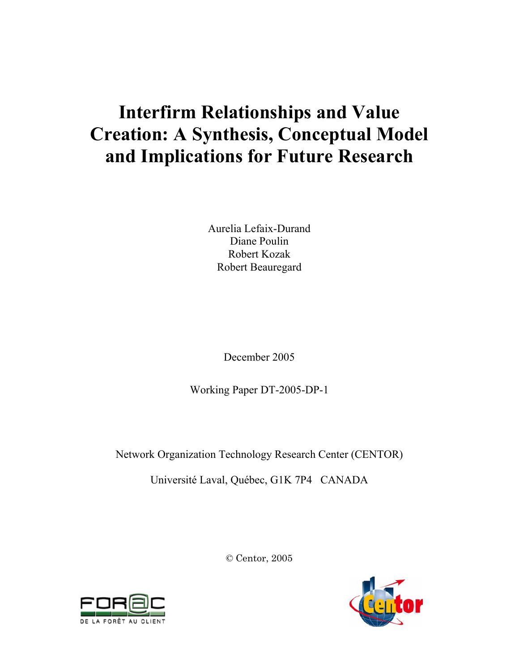# **Interfirm Relationships and Value Creation: A Synthesis, Conceptual Model and Implications for Future Research**

Aurelia Lefaix-Durand Diane Poulin Robert Kozak Robert Beauregard

December 2005

Working Paper DT-2005-DP-1

Network Organization Technology Research Center (CENTOR)

Université Laval, Québec, G1K 7P4 CANADA

© Centor, 2005



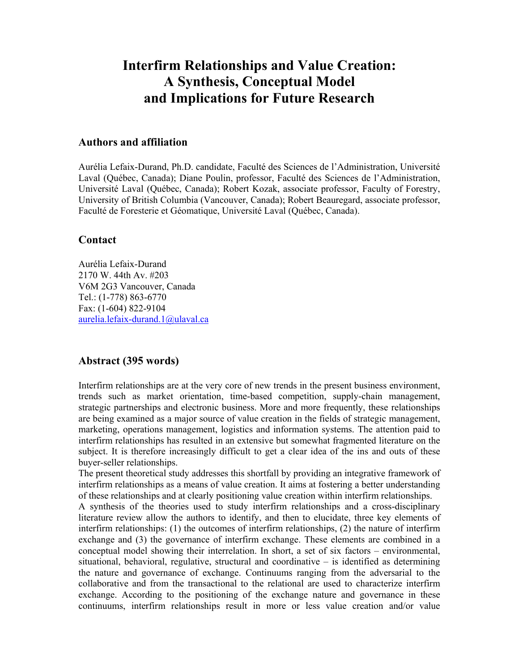# **Interfirm Relationships and Value Creation: A Synthesis, Conceptual Model and Implications for Future Research**

# **Authors and affiliation**

Aurélia Lefaix-Durand, Ph.D. candidate, Faculté des Sciences de l'Administration, Université Laval (Québec, Canada); Diane Poulin, professor, Faculté des Sciences de l'Administration, Université Laval (Québec, Canada); Robert Kozak, associate professor, Faculty of Forestry, University of British Columbia (Vancouver, Canada); Robert Beauregard, associate professor, Faculté de Foresterie et Géomatique, Université Laval (Québec, Canada).

# **Contact**

Aurélia Lefaix-Durand 2170 W. 44th Av. #203 V6M 2G3 Vancouver, Canada Tel.: (1-778) 863-6770 Fax: (1-604) 822-9104 aurelia.lefaix-durand.1@ulaval.ca

# **Abstract (395 words)**

Interfirm relationships are at the very core of new trends in the present business environment, trends such as market orientation, time-based competition, supply-chain management, strategic partnerships and electronic business. More and more frequently, these relationships are being examined as a major source of value creation in the fields of strategic management, marketing, operations management, logistics and information systems. The attention paid to interfirm relationships has resulted in an extensive but somewhat fragmented literature on the subject. It is therefore increasingly difficult to get a clear idea of the ins and outs of these buyer-seller relationships.

The present theoretical study addresses this shortfall by providing an integrative framework of interfirm relationships as a means of value creation. It aims at fostering a better understanding of these relationships and at clearly positioning value creation within interfirm relationships.

A synthesis of the theories used to study interfirm relationships and a cross-disciplinary literature review allow the authors to identify, and then to elucidate, three key elements of interfirm relationships: (1) the outcomes of interfirm relationships, (2) the nature of interfirm exchange and (3) the governance of interfirm exchange. These elements are combined in a conceptual model showing their interrelation. In short, a set of six factors – environmental, situational, behavioral, regulative, structural and coordinative – is identified as determining the nature and governance of exchange. Continuums ranging from the adversarial to the collaborative and from the transactional to the relational are used to characterize interfirm exchange. According to the positioning of the exchange nature and governance in these continuums, interfirm relationships result in more or less value creation and/or value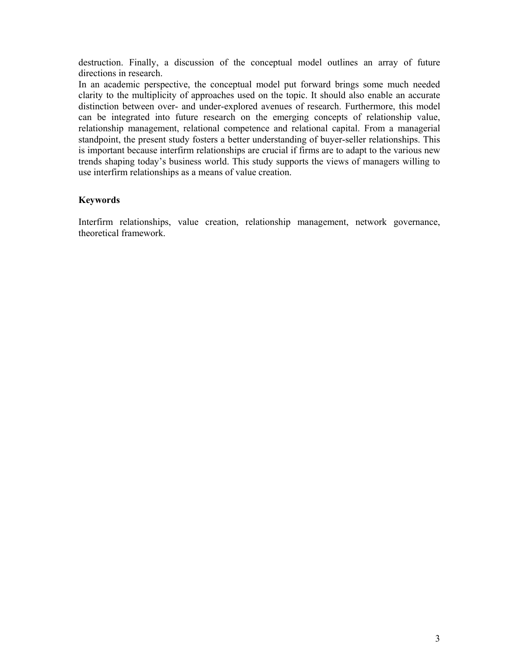destruction. Finally, a discussion of the conceptual model outlines an array of future directions in research.

In an academic perspective, the conceptual model put forward brings some much needed clarity to the multiplicity of approaches used on the topic. It should also enable an accurate distinction between over- and under-explored avenues of research. Furthermore, this model can be integrated into future research on the emerging concepts of relationship value, relationship management, relational competence and relational capital. From a managerial standpoint, the present study fosters a better understanding of buyer-seller relationships. This is important because interfirm relationships are crucial if firms are to adapt to the various new trends shaping today's business world. This study supports the views of managers willing to use interfirm relationships as a means of value creation.

## **Keywords**

Interfirm relationships, value creation, relationship management, network governance, theoretical framework.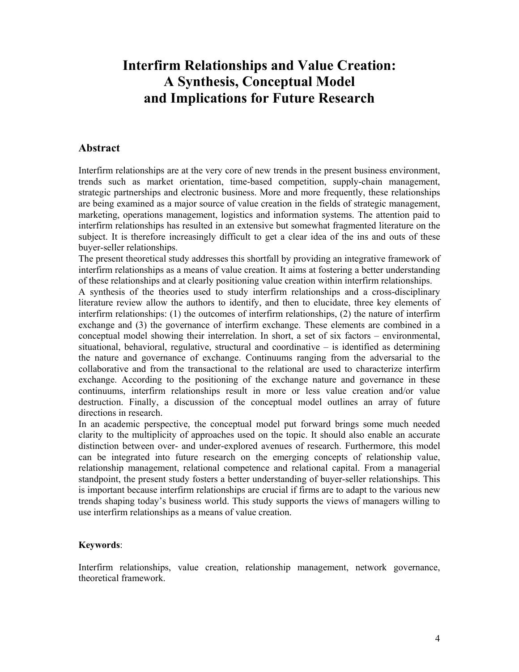# **Interfirm Relationships and Value Creation: A Synthesis, Conceptual Model and Implications for Future Research**

# **Abstract**

Interfirm relationships are at the very core of new trends in the present business environment, trends such as market orientation, time-based competition, supply-chain management, strategic partnerships and electronic business. More and more frequently, these relationships are being examined as a major source of value creation in the fields of strategic management, marketing, operations management, logistics and information systems. The attention paid to interfirm relationships has resulted in an extensive but somewhat fragmented literature on the subject. It is therefore increasingly difficult to get a clear idea of the ins and outs of these buyer-seller relationships.

The present theoretical study addresses this shortfall by providing an integrative framework of interfirm relationships as a means of value creation. It aims at fostering a better understanding of these relationships and at clearly positioning value creation within interfirm relationships.

A synthesis of the theories used to study interfirm relationships and a cross-disciplinary literature review allow the authors to identify, and then to elucidate, three key elements of interfirm relationships: (1) the outcomes of interfirm relationships, (2) the nature of interfirm exchange and (3) the governance of interfirm exchange. These elements are combined in a conceptual model showing their interrelation. In short, a set of six factors – environmental, situational, behavioral, regulative, structural and coordinative – is identified as determining the nature and governance of exchange. Continuums ranging from the adversarial to the collaborative and from the transactional to the relational are used to characterize interfirm exchange. According to the positioning of the exchange nature and governance in these continuums, interfirm relationships result in more or less value creation and/or value destruction. Finally, a discussion of the conceptual model outlines an array of future directions in research.

In an academic perspective, the conceptual model put forward brings some much needed clarity to the multiplicity of approaches used on the topic. It should also enable an accurate distinction between over- and under-explored avenues of research. Furthermore, this model can be integrated into future research on the emerging concepts of relationship value, relationship management, relational competence and relational capital. From a managerial standpoint, the present study fosters a better understanding of buyer-seller relationships. This is important because interfirm relationships are crucial if firms are to adapt to the various new trends shaping today's business world. This study supports the views of managers willing to use interfirm relationships as a means of value creation.

## **Keywords**:

Interfirm relationships, value creation, relationship management, network governance, theoretical framework.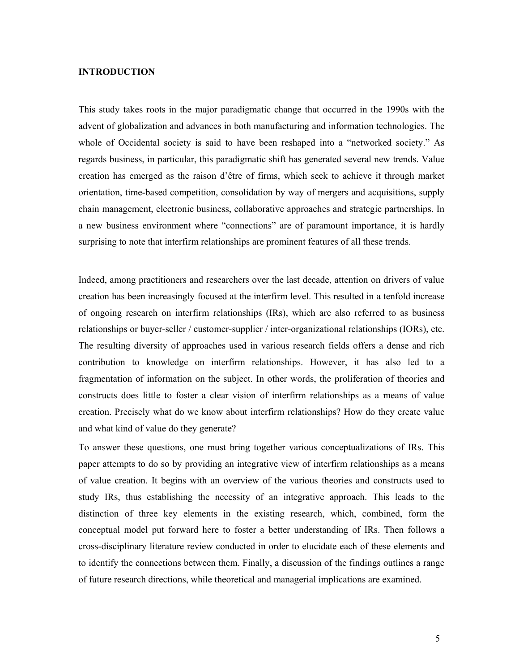#### **INTRODUCTION**

This study takes roots in the major paradigmatic change that occurred in the 1990s with the advent of globalization and advances in both manufacturing and information technologies. The whole of Occidental society is said to have been reshaped into a "networked society." As regards business, in particular, this paradigmatic shift has generated several new trends. Value creation has emerged as the raison d'être of firms, which seek to achieve it through market orientation, time-based competition, consolidation by way of mergers and acquisitions, supply chain management, electronic business, collaborative approaches and strategic partnerships. In a new business environment where "connections" are of paramount importance, it is hardly surprising to note that interfirm relationships are prominent features of all these trends.

Indeed, among practitioners and researchers over the last decade, attention on drivers of value creation has been increasingly focused at the interfirm level. This resulted in a tenfold increase of ongoing research on interfirm relationships (IRs), which are also referred to as business relationships or buyer-seller / customer-supplier / inter-organizational relationships (IORs), etc. The resulting diversity of approaches used in various research fields offers a dense and rich contribution to knowledge on interfirm relationships. However, it has also led to a fragmentation of information on the subject. In other words, the proliferation of theories and constructs does little to foster a clear vision of interfirm relationships as a means of value creation. Precisely what do we know about interfirm relationships? How do they create value and what kind of value do they generate?

To answer these questions, one must bring together various conceptualizations of IRs. This paper attempts to do so by providing an integrative view of interfirm relationships as a means of value creation. It begins with an overview of the various theories and constructs used to study IRs, thus establishing the necessity of an integrative approach. This leads to the distinction of three key elements in the existing research, which, combined, form the conceptual model put forward here to foster a better understanding of IRs. Then follows a cross-disciplinary literature review conducted in order to elucidate each of these elements and to identify the connections between them. Finally, a discussion of the findings outlines a range of future research directions, while theoretical and managerial implications are examined.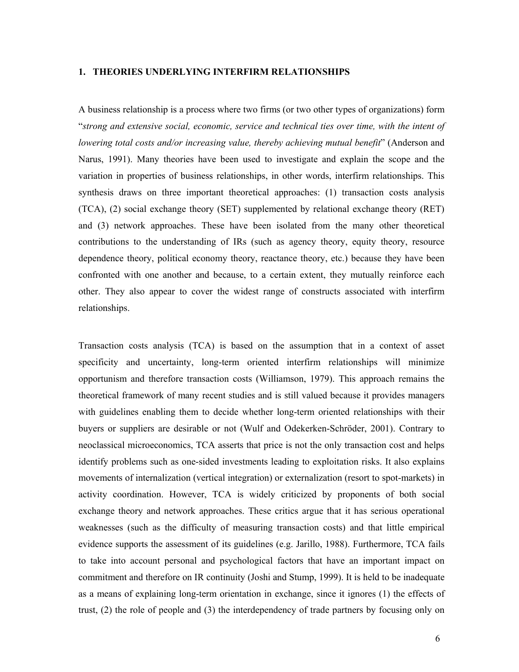#### **1. THEORIES UNDERLYING INTERFIRM RELATIONSHIPS**

A business relationship is a process where two firms (or two other types of organizations) form "*strong and extensive social, economic, service and technical ties over time, with the intent of lowering total costs and/or increasing value, thereby achieving mutual benefit*" (Anderson and Narus, 1991). Many theories have been used to investigate and explain the scope and the variation in properties of business relationships, in other words, interfirm relationships. This synthesis draws on three important theoretical approaches: (1) transaction costs analysis (TCA), (2) social exchange theory (SET) supplemented by relational exchange theory (RET) and (3) network approaches. These have been isolated from the many other theoretical contributions to the understanding of IRs (such as agency theory, equity theory, resource dependence theory, political economy theory, reactance theory, etc.) because they have been confronted with one another and because, to a certain extent, they mutually reinforce each other. They also appear to cover the widest range of constructs associated with interfirm relationships.

Transaction costs analysis (TCA) is based on the assumption that in a context of asset specificity and uncertainty, long-term oriented interfirm relationships will minimize opportunism and therefore transaction costs (Williamson, 1979). This approach remains the theoretical framework of many recent studies and is still valued because it provides managers with guidelines enabling them to decide whether long-term oriented relationships with their buyers or suppliers are desirable or not (Wulf and Odekerken-Schröder, 2001). Contrary to neoclassical microeconomics, TCA asserts that price is not the only transaction cost and helps identify problems such as one-sided investments leading to exploitation risks. It also explains movements of internalization (vertical integration) or externalization (resort to spot-markets) in activity coordination. However, TCA is widely criticized by proponents of both social exchange theory and network approaches. These critics argue that it has serious operational weaknesses (such as the difficulty of measuring transaction costs) and that little empirical evidence supports the assessment of its guidelines (e.g. Jarillo, 1988). Furthermore, TCA fails to take into account personal and psychological factors that have an important impact on commitment and therefore on IR continuity (Joshi and Stump, 1999). It is held to be inadequate as a means of explaining long-term orientation in exchange, since it ignores (1) the effects of trust, (2) the role of people and (3) the interdependency of trade partners by focusing only on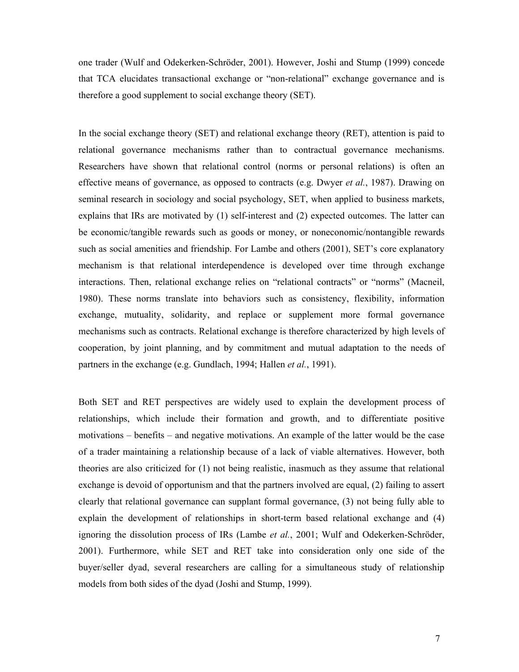one trader (Wulf and Odekerken-Schröder, 2001). However, Joshi and Stump (1999) concede that TCA elucidates transactional exchange or "non-relational" exchange governance and is therefore a good supplement to social exchange theory (SET).

In the social exchange theory (SET) and relational exchange theory (RET), attention is paid to relational governance mechanisms rather than to contractual governance mechanisms. Researchers have shown that relational control (norms or personal relations) is often an effective means of governance, as opposed to contracts (e.g. Dwyer *et al.*, 1987). Drawing on seminal research in sociology and social psychology, SET, when applied to business markets, explains that IRs are motivated by (1) self-interest and (2) expected outcomes. The latter can be economic/tangible rewards such as goods or money, or noneconomic/nontangible rewards such as social amenities and friendship. For Lambe and others (2001), SET's core explanatory mechanism is that relational interdependence is developed over time through exchange interactions. Then, relational exchange relies on "relational contracts" or "norms" (Macneil, 1980). These norms translate into behaviors such as consistency, flexibility, information exchange, mutuality, solidarity, and replace or supplement more formal governance mechanisms such as contracts. Relational exchange is therefore characterized by high levels of cooperation, by joint planning, and by commitment and mutual adaptation to the needs of partners in the exchange (e.g. Gundlach, 1994; Hallen *et al.*, 1991).

Both SET and RET perspectives are widely used to explain the development process of relationships, which include their formation and growth, and to differentiate positive motivations – benefits – and negative motivations. An example of the latter would be the case of a trader maintaining a relationship because of a lack of viable alternatives. However, both theories are also criticized for (1) not being realistic, inasmuch as they assume that relational exchange is devoid of opportunism and that the partners involved are equal, (2) failing to assert clearly that relational governance can supplant formal governance, (3) not being fully able to explain the development of relationships in short-term based relational exchange and (4) ignoring the dissolution process of IRs (Lambe *et al.*, 2001; Wulf and Odekerken-Schröder, 2001). Furthermore, while SET and RET take into consideration only one side of the buyer/seller dyad, several researchers are calling for a simultaneous study of relationship models from both sides of the dyad (Joshi and Stump, 1999).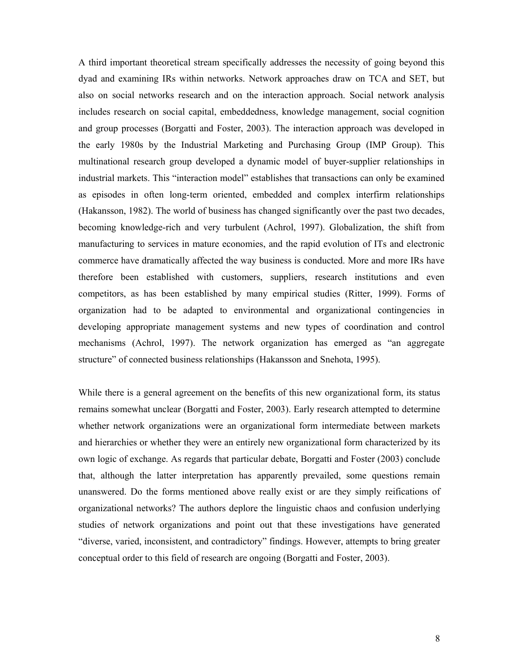A third important theoretical stream specifically addresses the necessity of going beyond this dyad and examining IRs within networks. Network approaches draw on TCA and SET, but also on social networks research and on the interaction approach. Social network analysis includes research on social capital, embeddedness, knowledge management, social cognition and group processes (Borgatti and Foster, 2003). The interaction approach was developed in the early 1980s by the Industrial Marketing and Purchasing Group (IMP Group). This multinational research group developed a dynamic model of buyer-supplier relationships in industrial markets. This "interaction model" establishes that transactions can only be examined as episodes in often long-term oriented, embedded and complex interfirm relationships (Hakansson, 1982). The world of business has changed significantly over the past two decades, becoming knowledge-rich and very turbulent (Achrol, 1997). Globalization, the shift from manufacturing to services in mature economies, and the rapid evolution of ITs and electronic commerce have dramatically affected the way business is conducted. More and more IRs have therefore been established with customers, suppliers, research institutions and even competitors, as has been established by many empirical studies (Ritter, 1999). Forms of organization had to be adapted to environmental and organizational contingencies in developing appropriate management systems and new types of coordination and control mechanisms (Achrol, 1997). The network organization has emerged as "an aggregate structure" of connected business relationships (Hakansson and Snehota, 1995).

While there is a general agreement on the benefits of this new organizational form, its status remains somewhat unclear (Borgatti and Foster, 2003). Early research attempted to determine whether network organizations were an organizational form intermediate between markets and hierarchies or whether they were an entirely new organizational form characterized by its own logic of exchange. As regards that particular debate, Borgatti and Foster (2003) conclude that, although the latter interpretation has apparently prevailed, some questions remain unanswered. Do the forms mentioned above really exist or are they simply reifications of organizational networks? The authors deplore the linguistic chaos and confusion underlying studies of network organizations and point out that these investigations have generated "diverse, varied, inconsistent, and contradictory" findings. However, attempts to bring greater conceptual order to this field of research are ongoing (Borgatti and Foster, 2003).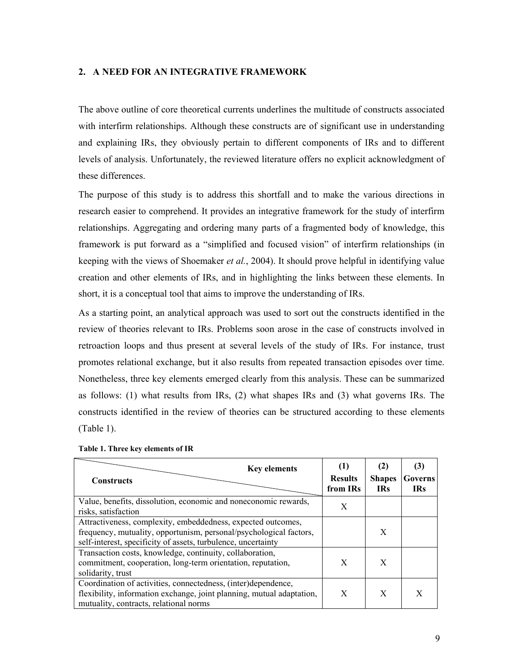#### **2. A NEED FOR AN INTEGRATIVE FRAMEWORK**

The above outline of core theoretical currents underlines the multitude of constructs associated with interfirm relationships. Although these constructs are of significant use in understanding and explaining IRs, they obviously pertain to different components of IRs and to different levels of analysis. Unfortunately, the reviewed literature offers no explicit acknowledgment of these differences.

The purpose of this study is to address this shortfall and to make the various directions in research easier to comprehend. It provides an integrative framework for the study of interfirm relationships. Aggregating and ordering many parts of a fragmented body of knowledge, this framework is put forward as a "simplified and focused vision" of interfirm relationships (in keeping with the views of Shoemaker *et al.*, 2004). It should prove helpful in identifying value creation and other elements of IRs, and in highlighting the links between these elements. In short, it is a conceptual tool that aims to improve the understanding of IRs.

As a starting point, an analytical approach was used to sort out the constructs identified in the review of theories relevant to IRs. Problems soon arose in the case of constructs involved in retroaction loops and thus present at several levels of the study of IRs. For instance, trust promotes relational exchange, but it also results from repeated transaction episodes over time. Nonetheless, three key elements emerged clearly from this analysis. These can be summarized as follows: (1) what results from IRs, (2) what shapes IRs and (3) what governs IRs. The constructs identified in the review of theories can be structured according to these elements (Table 1).

| <b>Key elements</b><br><b>Constructs</b>                                                                                                                                                            | <b>Results</b><br>from IRs | (2)<br><b>Shapes</b><br><b>IRs</b> | (3)<br>Governs<br><b>IRs</b> |
|-----------------------------------------------------------------------------------------------------------------------------------------------------------------------------------------------------|----------------------------|------------------------------------|------------------------------|
| Value, benefits, dissolution, economic and noneconomic rewards,<br>risks, satisfaction                                                                                                              | X                          |                                    |                              |
| Attractiveness, complexity, embeddedness, expected outcomes,<br>frequency, mutuality, opportunism, personal/psychological factors,<br>self-interest, specificity of assets, turbulence, uncertainty |                            | X                                  |                              |
| Transaction costs, knowledge, continuity, collaboration,<br>commitment, cooperation, long-term orientation, reputation,<br>solidarity, trust                                                        | X                          | X                                  |                              |
| Coordination of activities, connectedness, (inter)dependence,<br>flexibility, information exchange, joint planning, mutual adaptation,<br>mutuality, contracts, relational norms                    | X                          | X                                  | X                            |

**Table 1. Three key elements of IR**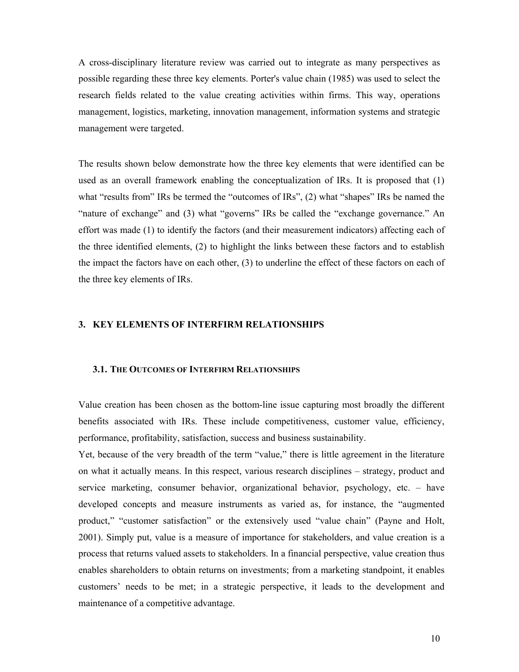A cross-disciplinary literature review was carried out to integrate as many perspectives as possible regarding these three key elements. Porter's value chain (1985) was used to select the research fields related to the value creating activities within firms. This way, operations management, logistics, marketing, innovation management, information systems and strategic management were targeted.

The results shown below demonstrate how the three key elements that were identified can be used as an overall framework enabling the conceptualization of IRs. It is proposed that (1) what "results from" IRs be termed the "outcomes of IRs", (2) what "shapes" IRs be named the "nature of exchange" and (3) what "governs" IRs be called the "exchange governance." An effort was made (1) to identify the factors (and their measurement indicators) affecting each of the three identified elements, (2) to highlight the links between these factors and to establish the impact the factors have on each other, (3) to underline the effect of these factors on each of the three key elements of IRs.

#### **3. KEY ELEMENTS OF INTERFIRM RELATIONSHIPS**

#### **3.1. THE OUTCOMES OF INTERFIRM RELATIONSHIPS**

Value creation has been chosen as the bottom-line issue capturing most broadly the different benefits associated with IRs. These include competitiveness, customer value, efficiency, performance, profitability, satisfaction, success and business sustainability.

Yet, because of the very breadth of the term "value," there is little agreement in the literature on what it actually means. In this respect, various research disciplines – strategy, product and service marketing, consumer behavior, organizational behavior, psychology, etc. – have developed concepts and measure instruments as varied as, for instance, the "augmented product," "customer satisfaction" or the extensively used "value chain" (Payne and Holt, 2001). Simply put, value is a measure of importance for stakeholders, and value creation is a process that returns valued assets to stakeholders. In a financial perspective, value creation thus enables shareholders to obtain returns on investments; from a marketing standpoint, it enables customers' needs to be met; in a strategic perspective, it leads to the development and maintenance of a competitive advantage.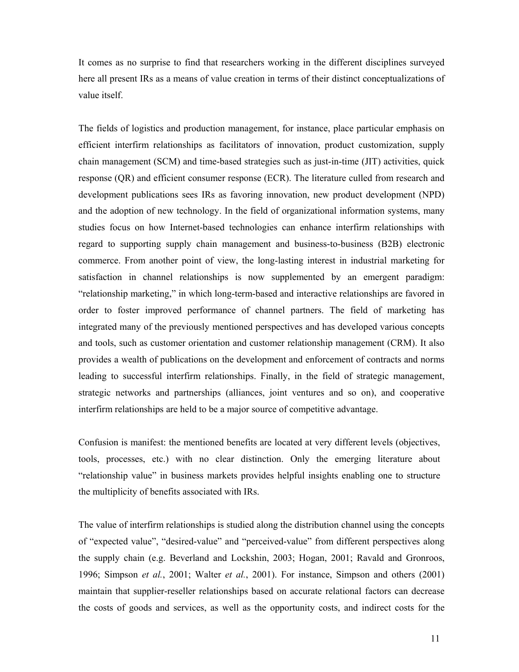It comes as no surprise to find that researchers working in the different disciplines surveyed here all present IRs as a means of value creation in terms of their distinct conceptualizations of value itself.

The fields of logistics and production management, for instance, place particular emphasis on efficient interfirm relationships as facilitators of innovation, product customization, supply chain management (SCM) and time-based strategies such as just-in-time (JIT) activities, quick response (QR) and efficient consumer response (ECR). The literature culled from research and development publications sees IRs as favoring innovation, new product development (NPD) and the adoption of new technology. In the field of organizational information systems, many studies focus on how Internet-based technologies can enhance interfirm relationships with regard to supporting supply chain management and business-to-business (B2B) electronic commerce. From another point of view, the long-lasting interest in industrial marketing for satisfaction in channel relationships is now supplemented by an emergent paradigm: "relationship marketing," in which long-term-based and interactive relationships are favored in order to foster improved performance of channel partners. The field of marketing has integrated many of the previously mentioned perspectives and has developed various concepts and tools, such as customer orientation and customer relationship management (CRM). It also provides a wealth of publications on the development and enforcement of contracts and norms leading to successful interfirm relationships. Finally, in the field of strategic management, strategic networks and partnerships (alliances, joint ventures and so on), and cooperative interfirm relationships are held to be a major source of competitive advantage.

Confusion is manifest: the mentioned benefits are located at very different levels (objectives, tools, processes, etc.) with no clear distinction. Only the emerging literature about "relationship value" in business markets provides helpful insights enabling one to structure the multiplicity of benefits associated with IRs.

The value of interfirm relationships is studied along the distribution channel using the concepts of "expected value", "desired-value" and "perceived-value" from different perspectives along the supply chain (e.g. Beverland and Lockshin, 2003; Hogan, 2001; Ravald and Gronroos, 1996; Simpson *et al.*, 2001; Walter *et al.*, 2001). For instance, Simpson and others (2001) maintain that supplier-reseller relationships based on accurate relational factors can decrease the costs of goods and services, as well as the opportunity costs, and indirect costs for the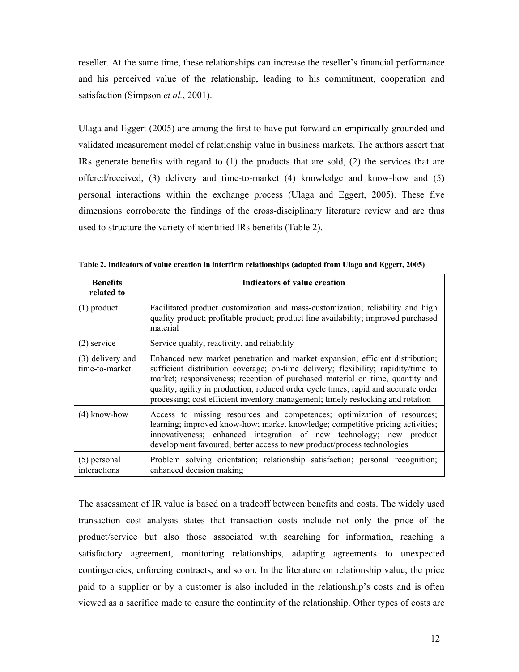reseller. At the same time, these relationships can increase the reseller's financial performance and his perceived value of the relationship, leading to his commitment, cooperation and satisfaction (Simpson *et al.*, 2001).

Ulaga and Eggert (2005) are among the first to have put forward an empirically-grounded and validated measurement model of relationship value in business markets. The authors assert that IRs generate benefits with regard to (1) the products that are sold, (2) the services that are offered/received, (3) delivery and time-to-market (4) knowledge and know-how and (5) personal interactions within the exchange process (Ulaga and Eggert, 2005). These five dimensions corroborate the findings of the cross-disciplinary literature review and are thus used to structure the variety of identified IRs benefits (Table 2).

| <b>Benefits</b><br>related to      | <b>Indicators of value creation</b>                                                                                                                                                                                                                                                                                                                                                                                           |
|------------------------------------|-------------------------------------------------------------------------------------------------------------------------------------------------------------------------------------------------------------------------------------------------------------------------------------------------------------------------------------------------------------------------------------------------------------------------------|
| $(1)$ product                      | Facilitated product customization and mass-customization; reliability and high<br>quality product; profitable product; product line availability; improved purchased<br>material                                                                                                                                                                                                                                              |
| $(2)$ service                      | Service quality, reactivity, and reliability                                                                                                                                                                                                                                                                                                                                                                                  |
| (3) delivery and<br>time-to-market | Enhanced new market penetration and market expansion; efficient distribution;<br>sufficient distribution coverage; on-time delivery; flexibility; rapidity/time to<br>market; responsiveness; reception of purchased material on time, quantity and<br>quality; agility in production; reduced order cycle times; rapid and accurate order<br>processing; cost efficient inventory management; timely restocking and rotation |
| $(4)$ know-how                     | Access to missing resources and competences; optimization of resources;<br>learning; improved know-how; market knowledge; competitive pricing activities;<br>innovativeness; enhanced integration of new technology; new product<br>development favoured; better access to new product/process technologies                                                                                                                   |
| $(5)$ personal<br>interactions     | Problem solving orientation; relationship satisfaction; personal recognition;<br>enhanced decision making                                                                                                                                                                                                                                                                                                                     |

**Table 2. Indicators of value creation in interfirm relationships (adapted from Ulaga and Eggert, 2005)** 

The assessment of IR value is based on a tradeoff between benefits and costs. The widely used transaction cost analysis states that transaction costs include not only the price of the product/service but also those associated with searching for information, reaching a satisfactory agreement, monitoring relationships, adapting agreements to unexpected contingencies, enforcing contracts, and so on. In the literature on relationship value, the price paid to a supplier or by a customer is also included in the relationship's costs and is often viewed as a sacrifice made to ensure the continuity of the relationship. Other types of costs are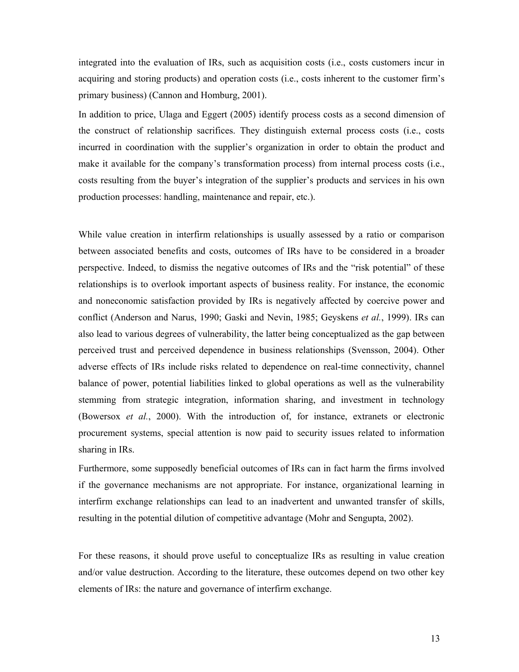integrated into the evaluation of IRs, such as acquisition costs (i.e., costs customers incur in acquiring and storing products) and operation costs (i.e., costs inherent to the customer firm's primary business) (Cannon and Homburg, 2001).

In addition to price, Ulaga and Eggert (2005) identify process costs as a second dimension of the construct of relationship sacrifices. They distinguish external process costs (i.e., costs incurred in coordination with the supplier's organization in order to obtain the product and make it available for the company's transformation process) from internal process costs (i.e., costs resulting from the buyer's integration of the supplier's products and services in his own production processes: handling, maintenance and repair, etc.).

While value creation in interfirm relationships is usually assessed by a ratio or comparison between associated benefits and costs, outcomes of IRs have to be considered in a broader perspective. Indeed, to dismiss the negative outcomes of IRs and the "risk potential" of these relationships is to overlook important aspects of business reality. For instance, the economic and noneconomic satisfaction provided by IRs is negatively affected by coercive power and conflict (Anderson and Narus, 1990; Gaski and Nevin, 1985; Geyskens *et al.*, 1999). IRs can also lead to various degrees of vulnerability, the latter being conceptualized as the gap between perceived trust and perceived dependence in business relationships (Svensson, 2004). Other adverse effects of IRs include risks related to dependence on real-time connectivity, channel balance of power, potential liabilities linked to global operations as well as the vulnerability stemming from strategic integration, information sharing, and investment in technology (Bowersox *et al.*, 2000). With the introduction of, for instance, extranets or electronic procurement systems, special attention is now paid to security issues related to information sharing in IRs.

Furthermore, some supposedly beneficial outcomes of IRs can in fact harm the firms involved if the governance mechanisms are not appropriate. For instance, organizational learning in interfirm exchange relationships can lead to an inadvertent and unwanted transfer of skills, resulting in the potential dilution of competitive advantage (Mohr and Sengupta, 2002).

For these reasons, it should prove useful to conceptualize IRs as resulting in value creation and/or value destruction. According to the literature, these outcomes depend on two other key elements of IRs: the nature and governance of interfirm exchange.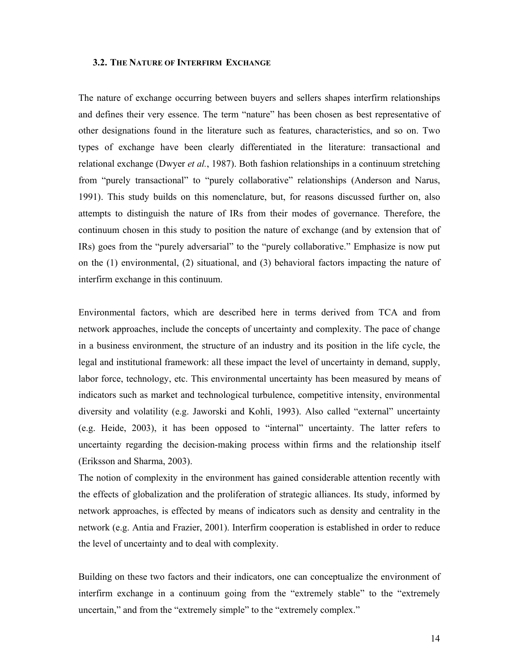#### **3.2. THE NATURE OF INTERFIRM EXCHANGE**

The nature of exchange occurring between buyers and sellers shapes interfirm relationships and defines their very essence. The term "nature" has been chosen as best representative of other designations found in the literature such as features, characteristics, and so on. Two types of exchange have been clearly differentiated in the literature: transactional and relational exchange (Dwyer *et al.*, 1987). Both fashion relationships in a continuum stretching from "purely transactional" to "purely collaborative" relationships (Anderson and Narus, 1991). This study builds on this nomenclature, but, for reasons discussed further on, also attempts to distinguish the nature of IRs from their modes of governance. Therefore, the continuum chosen in this study to position the nature of exchange (and by extension that of IRs) goes from the "purely adversarial" to the "purely collaborative." Emphasize is now put on the (1) environmental, (2) situational, and (3) behavioral factors impacting the nature of interfirm exchange in this continuum.

Environmental factors, which are described here in terms derived from TCA and from network approaches, include the concepts of uncertainty and complexity. The pace of change in a business environment, the structure of an industry and its position in the life cycle, the legal and institutional framework: all these impact the level of uncertainty in demand, supply, labor force, technology, etc. This environmental uncertainty has been measured by means of indicators such as market and technological turbulence, competitive intensity, environmental diversity and volatility (e.g. Jaworski and Kohli, 1993). Also called "external" uncertainty (e.g. Heide, 2003), it has been opposed to "internal" uncertainty. The latter refers to uncertainty regarding the decision-making process within firms and the relationship itself (Eriksson and Sharma, 2003).

The notion of complexity in the environment has gained considerable attention recently with the effects of globalization and the proliferation of strategic alliances. Its study, informed by network approaches, is effected by means of indicators such as density and centrality in the network (e.g. Antia and Frazier, 2001). Interfirm cooperation is established in order to reduce the level of uncertainty and to deal with complexity.

Building on these two factors and their indicators, one can conceptualize the environment of interfirm exchange in a continuum going from the "extremely stable" to the "extremely uncertain," and from the "extremely simple" to the "extremely complex."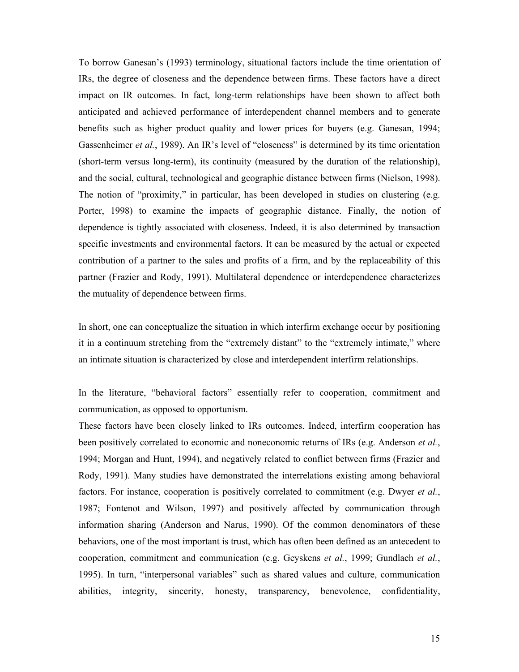To borrow Ganesan's (1993) terminology, situational factors include the time orientation of IRs, the degree of closeness and the dependence between firms. These factors have a direct impact on IR outcomes. In fact, long-term relationships have been shown to affect both anticipated and achieved performance of interdependent channel members and to generate benefits such as higher product quality and lower prices for buyers (e.g. Ganesan, 1994; Gassenheimer *et al.*, 1989). An IR's level of "closeness" is determined by its time orientation (short-term versus long-term), its continuity (measured by the duration of the relationship), and the social, cultural, technological and geographic distance between firms (Nielson, 1998). The notion of "proximity," in particular, has been developed in studies on clustering (e.g. Porter, 1998) to examine the impacts of geographic distance. Finally, the notion of dependence is tightly associated with closeness. Indeed, it is also determined by transaction specific investments and environmental factors. It can be measured by the actual or expected contribution of a partner to the sales and profits of a firm, and by the replaceability of this partner (Frazier and Rody, 1991). Multilateral dependence or interdependence characterizes the mutuality of dependence between firms.

In short, one can conceptualize the situation in which interfirm exchange occur by positioning it in a continuum stretching from the "extremely distant" to the "extremely intimate," where an intimate situation is characterized by close and interdependent interfirm relationships.

In the literature, "behavioral factors" essentially refer to cooperation, commitment and communication, as opposed to opportunism.

These factors have been closely linked to IRs outcomes. Indeed, interfirm cooperation has been positively correlated to economic and noneconomic returns of IRs (e.g. Anderson *et al.*, 1994; Morgan and Hunt, 1994), and negatively related to conflict between firms (Frazier and Rody, 1991). Many studies have demonstrated the interrelations existing among behavioral factors. For instance, cooperation is positively correlated to commitment (e.g. Dwyer *et al.*, 1987; Fontenot and Wilson, 1997) and positively affected by communication through information sharing (Anderson and Narus, 1990). Of the common denominators of these behaviors, one of the most important is trust, which has often been defined as an antecedent to cooperation, commitment and communication (e.g. Geyskens *et al.*, 1999; Gundlach *et al.*, 1995). In turn, "interpersonal variables" such as shared values and culture, communication abilities, integrity, sincerity, honesty, transparency, benevolence, confidentiality,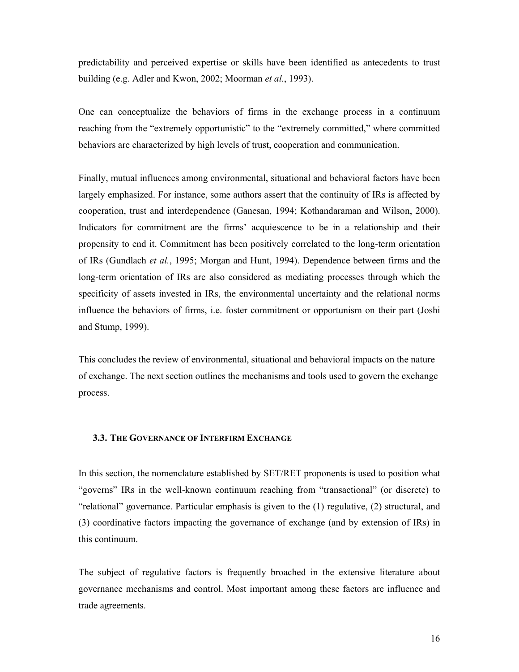predictability and perceived expertise or skills have been identified as antecedents to trust building (e.g. Adler and Kwon, 2002; Moorman *et al.*, 1993).

One can conceptualize the behaviors of firms in the exchange process in a continuum reaching from the "extremely opportunistic" to the "extremely committed," where committed behaviors are characterized by high levels of trust, cooperation and communication.

Finally, mutual influences among environmental, situational and behavioral factors have been largely emphasized. For instance, some authors assert that the continuity of IRs is affected by cooperation, trust and interdependence (Ganesan, 1994; Kothandaraman and Wilson, 2000). Indicators for commitment are the firms' acquiescence to be in a relationship and their propensity to end it. Commitment has been positively correlated to the long-term orientation of IRs (Gundlach *et al.*, 1995; Morgan and Hunt, 1994). Dependence between firms and the long-term orientation of IRs are also considered as mediating processes through which the specificity of assets invested in IRs, the environmental uncertainty and the relational norms influence the behaviors of firms, i.e. foster commitment or opportunism on their part (Joshi and Stump, 1999).

This concludes the review of environmental, situational and behavioral impacts on the nature of exchange. The next section outlines the mechanisms and tools used to govern the exchange process.

#### **3.3. THE GOVERNANCE OF INTERFIRM EXCHANGE**

In this section, the nomenclature established by SET/RET proponents is used to position what "governs" IRs in the well-known continuum reaching from "transactional" (or discrete) to "relational" governance. Particular emphasis is given to the (1) regulative, (2) structural, and (3) coordinative factors impacting the governance of exchange (and by extension of IRs) in this continuum.

The subject of regulative factors is frequently broached in the extensive literature about governance mechanisms and control. Most important among these factors are influence and trade agreements.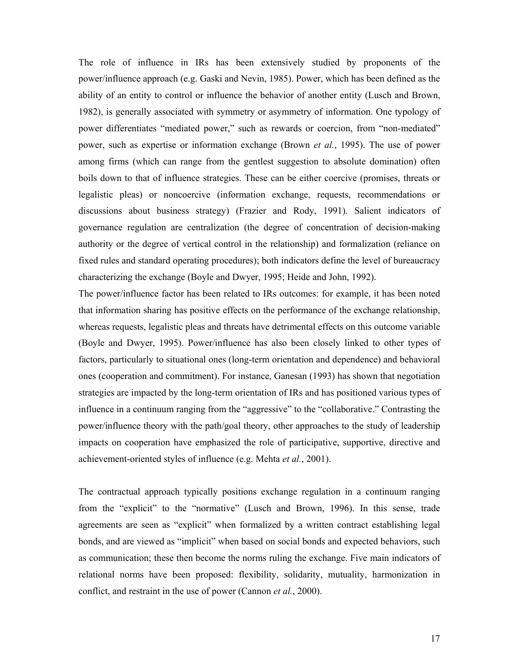The role of influence in IRs has been extensively studied by proponents of the power/influence approach (e.g. Gaski and Nevin, 1985). Power, which has been defined as the ability of an entity to control or influence the behavior of another entity (Lusch and Brown, 1982), is generally associated with symmetry or asymmetry of information. One typology of power differentiates "mediated power," such as rewards or coercion, from "non-mediated" power, such as expertise or information exchange (Brown *et al.*, 1995). The use of power among firms (which can range from the gentlest suggestion to absolute domination) often boils down to that of influence strategies. These can be either coercive (promises, threats or legalistic pleas) or noncoercive (information exchange, requests, recommendations or discussions about business strategy) (Frazier and Rody, 1991). Salient indicators of governance regulation are centralization (the degree of concentration of decision-making authority or the degree of vertical control in the relationship) and formalization (reliance on fixed rules and standard operating procedures); both indicators define the level of bureaucracy characterizing the exchange (Boyle and Dwyer, 1995; Heide and John, 1992).

The power/influence factor has been related to IRs outcomes: for example, it has been noted that information sharing has positive effects on the performance of the exchange relationship, whereas requests, legalistic pleas and threats have detrimental effects on this outcome variable (Boyle and Dwyer, 1995). Power/influence has also been closely linked to other types of factors, particularly to situational ones (long-term orientation and dependence) and behavioral ones (cooperation and commitment). For instance, Ganesan (1993) has shown that negotiation strategies are impacted by the long-term orientation of IRs and has positioned various types of influence in a continuum ranging from the "aggressive" to the "collaborative." Contrasting the power/influence theory with the path/goal theory, other approaches to the study of leadership impacts on cooperation have emphasized the role of participative, supportive, directive and achievement-oriented styles of influence (e.g. Mehta *et al.*, 2001).

The contractual approach typically positions exchange regulation in a continuum ranging from the "explicit" to the "normative" (Lusch and Brown, 1996). In this sense, trade agreements are seen as "explicit" when formalized by a written contract establishing legal bonds, and are viewed as "implicit" when based on social bonds and expected behaviors, such as communication; these then become the norms ruling the exchange. Five main indicators of relational norms have been proposed: flexibility, solidarity, mutuality, harmonization in conflict, and restraint in the use of power (Cannon *et al.*, 2000).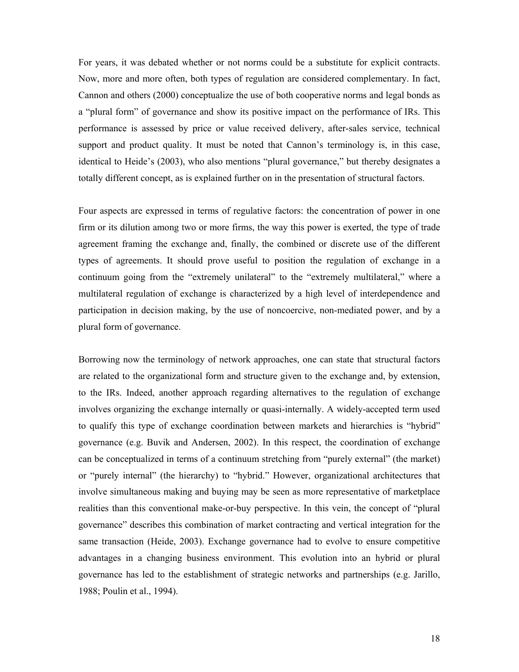For years, it was debated whether or not norms could be a substitute for explicit contracts. Now, more and more often, both types of regulation are considered complementary. In fact, Cannon and others (2000) conceptualize the use of both cooperative norms and legal bonds as a "plural form" of governance and show its positive impact on the performance of IRs. This performance is assessed by price or value received delivery, after-sales service, technical support and product quality. It must be noted that Cannon's terminology is, in this case, identical to Heide's (2003), who also mentions "plural governance," but thereby designates a totally different concept, as is explained further on in the presentation of structural factors.

Four aspects are expressed in terms of regulative factors: the concentration of power in one firm or its dilution among two or more firms, the way this power is exerted, the type of trade agreement framing the exchange and, finally, the combined or discrete use of the different types of agreements. It should prove useful to position the regulation of exchange in a continuum going from the "extremely unilateral" to the "extremely multilateral," where a multilateral regulation of exchange is characterized by a high level of interdependence and participation in decision making, by the use of noncoercive, non-mediated power, and by a plural form of governance.

Borrowing now the terminology of network approaches, one can state that structural factors are related to the organizational form and structure given to the exchange and, by extension, to the IRs. Indeed, another approach regarding alternatives to the regulation of exchange involves organizing the exchange internally or quasi-internally. A widely-accepted term used to qualify this type of exchange coordination between markets and hierarchies is "hybrid" governance (e.g. Buvik and Andersen, 2002). In this respect, the coordination of exchange can be conceptualized in terms of a continuum stretching from "purely external" (the market) or "purely internal" (the hierarchy) to "hybrid." However, organizational architectures that involve simultaneous making and buying may be seen as more representative of marketplace realities than this conventional make-or-buy perspective. In this vein, the concept of "plural governance" describes this combination of market contracting and vertical integration for the same transaction (Heide, 2003). Exchange governance had to evolve to ensure competitive advantages in a changing business environment. This evolution into an hybrid or plural governance has led to the establishment of strategic networks and partnerships (e.g. Jarillo, 1988; Poulin et al., 1994).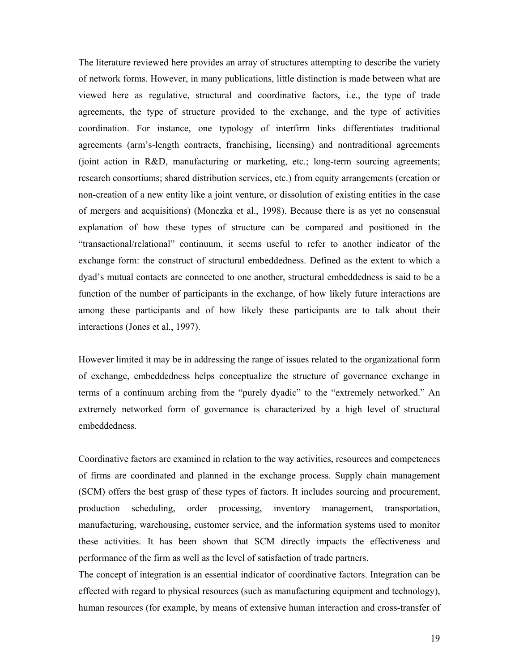The literature reviewed here provides an array of structures attempting to describe the variety of network forms. However, in many publications, little distinction is made between what are viewed here as regulative, structural and coordinative factors, i.e., the type of trade agreements, the type of structure provided to the exchange, and the type of activities coordination. For instance, one typology of interfirm links differentiates traditional agreements (arm's-length contracts, franchising, licensing) and nontraditional agreements (joint action in R&D, manufacturing or marketing, etc.; long-term sourcing agreements; research consortiums; shared distribution services, etc.) from equity arrangements (creation or non-creation of a new entity like a joint venture, or dissolution of existing entities in the case of mergers and acquisitions) (Monczka et al., 1998). Because there is as yet no consensual explanation of how these types of structure can be compared and positioned in the "transactional/relational" continuum, it seems useful to refer to another indicator of the exchange form: the construct of structural embeddedness. Defined as the extent to which a dyad's mutual contacts are connected to one another, structural embeddedness is said to be a function of the number of participants in the exchange, of how likely future interactions are among these participants and of how likely these participants are to talk about their interactions (Jones et al., 1997).

However limited it may be in addressing the range of issues related to the organizational form of exchange, embeddedness helps conceptualize the structure of governance exchange in terms of a continuum arching from the "purely dyadic" to the "extremely networked." An extremely networked form of governance is characterized by a high level of structural embeddedness.

Coordinative factors are examined in relation to the way activities, resources and competences of firms are coordinated and planned in the exchange process. Supply chain management (SCM) offers the best grasp of these types of factors. It includes sourcing and procurement, production scheduling, order processing, inventory management, transportation, manufacturing, warehousing, customer service, and the information systems used to monitor these activities. It has been shown that SCM directly impacts the effectiveness and performance of the firm as well as the level of satisfaction of trade partners.

The concept of integration is an essential indicator of coordinative factors. Integration can be effected with regard to physical resources (such as manufacturing equipment and technology), human resources (for example, by means of extensive human interaction and cross-transfer of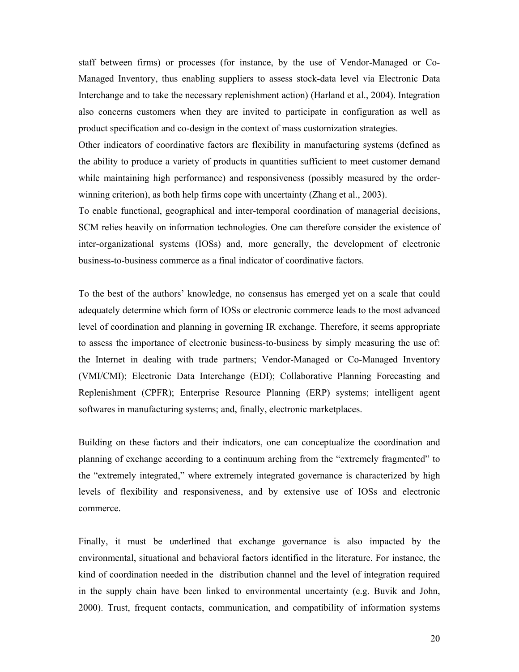staff between firms) or processes (for instance, by the use of Vendor-Managed or Co-Managed Inventory, thus enabling suppliers to assess stock-data level via Electronic Data Interchange and to take the necessary replenishment action) (Harland et al., 2004). Integration also concerns customers when they are invited to participate in configuration as well as product specification and co-design in the context of mass customization strategies.

Other indicators of coordinative factors are flexibility in manufacturing systems (defined as the ability to produce a variety of products in quantities sufficient to meet customer demand while maintaining high performance) and responsiveness (possibly measured by the orderwinning criterion), as both help firms cope with uncertainty (Zhang et al., 2003).

To enable functional, geographical and inter-temporal coordination of managerial decisions, SCM relies heavily on information technologies. One can therefore consider the existence of inter-organizational systems (IOSs) and, more generally, the development of electronic business-to-business commerce as a final indicator of coordinative factors.

To the best of the authors' knowledge, no consensus has emerged yet on a scale that could adequately determine which form of IOSs or electronic commerce leads to the most advanced level of coordination and planning in governing IR exchange. Therefore, it seems appropriate to assess the importance of electronic business-to-business by simply measuring the use of: the Internet in dealing with trade partners; Vendor-Managed or Co-Managed Inventory (VMI/CMI); Electronic Data Interchange (EDI); Collaborative Planning Forecasting and Replenishment (CPFR); Enterprise Resource Planning (ERP) systems; intelligent agent softwares in manufacturing systems; and, finally, electronic marketplaces.

Building on these factors and their indicators, one can conceptualize the coordination and planning of exchange according to a continuum arching from the "extremely fragmented" to the "extremely integrated," where extremely integrated governance is characterized by high levels of flexibility and responsiveness, and by extensive use of IOSs and electronic commerce.

Finally, it must be underlined that exchange governance is also impacted by the environmental, situational and behavioral factors identified in the literature. For instance, the kind of coordination needed in the distribution channel and the level of integration required in the supply chain have been linked to environmental uncertainty (e.g. Buvik and John, 2000). Trust, frequent contacts, communication, and compatibility of information systems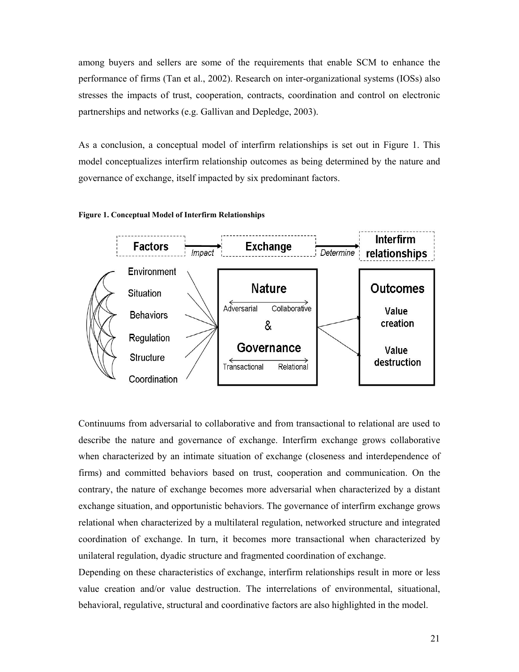among buyers and sellers are some of the requirements that enable SCM to enhance the performance of firms (Tan et al., 2002). Research on inter-organizational systems (IOSs) also stresses the impacts of trust, cooperation, contracts, coordination and control on electronic partnerships and networks (e.g. Gallivan and Depledge, 2003).

As a conclusion, a conceptual model of interfirm relationships is set out in Figure 1. This model conceptualizes interfirm relationship outcomes as being determined by the nature and governance of exchange, itself impacted by six predominant factors.





Continuums from adversarial to collaborative and from transactional to relational are used to describe the nature and governance of exchange. Interfirm exchange grows collaborative when characterized by an intimate situation of exchange (closeness and interdependence of firms) and committed behaviors based on trust, cooperation and communication. On the contrary, the nature of exchange becomes more adversarial when characterized by a distant exchange situation, and opportunistic behaviors. The governance of interfirm exchange grows relational when characterized by a multilateral regulation, networked structure and integrated coordination of exchange. In turn, it becomes more transactional when characterized by unilateral regulation, dyadic structure and fragmented coordination of exchange.

Depending on these characteristics of exchange, interfirm relationships result in more or less value creation and/or value destruction. The interrelations of environmental, situational, behavioral, regulative, structural and coordinative factors are also highlighted in the model.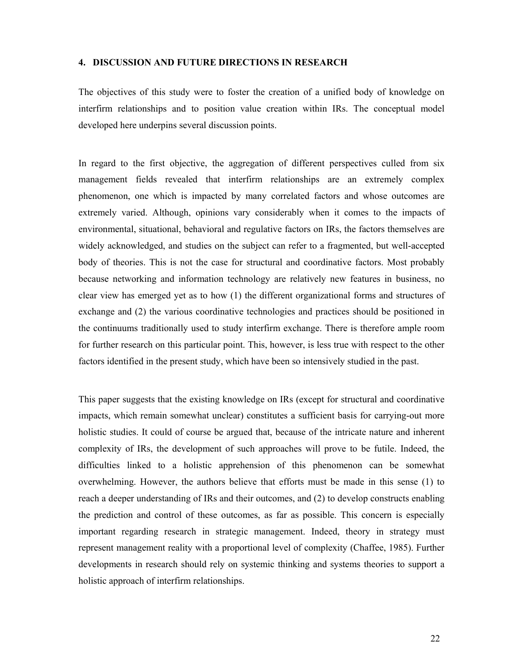## **4. DISCUSSION AND FUTURE DIRECTIONS IN RESEARCH**

The objectives of this study were to foster the creation of a unified body of knowledge on interfirm relationships and to position value creation within IRs. The conceptual model developed here underpins several discussion points.

In regard to the first objective, the aggregation of different perspectives culled from six management fields revealed that interfirm relationships are an extremely complex phenomenon, one which is impacted by many correlated factors and whose outcomes are extremely varied. Although, opinions vary considerably when it comes to the impacts of environmental, situational, behavioral and regulative factors on IRs, the factors themselves are widely acknowledged, and studies on the subject can refer to a fragmented, but well-accepted body of theories. This is not the case for structural and coordinative factors. Most probably because networking and information technology are relatively new features in business, no clear view has emerged yet as to how (1) the different organizational forms and structures of exchange and (2) the various coordinative technologies and practices should be positioned in the continuums traditionally used to study interfirm exchange. There is therefore ample room for further research on this particular point. This, however, is less true with respect to the other factors identified in the present study, which have been so intensively studied in the past.

This paper suggests that the existing knowledge on IRs (except for structural and coordinative impacts, which remain somewhat unclear) constitutes a sufficient basis for carrying-out more holistic studies. It could of course be argued that, because of the intricate nature and inherent complexity of IRs, the development of such approaches will prove to be futile. Indeed, the difficulties linked to a holistic apprehension of this phenomenon can be somewhat overwhelming. However, the authors believe that efforts must be made in this sense (1) to reach a deeper understanding of IRs and their outcomes, and (2) to develop constructs enabling the prediction and control of these outcomes, as far as possible. This concern is especially important regarding research in strategic management. Indeed, theory in strategy must represent management reality with a proportional level of complexity (Chaffee, 1985). Further developments in research should rely on systemic thinking and systems theories to support a holistic approach of interfirm relationships.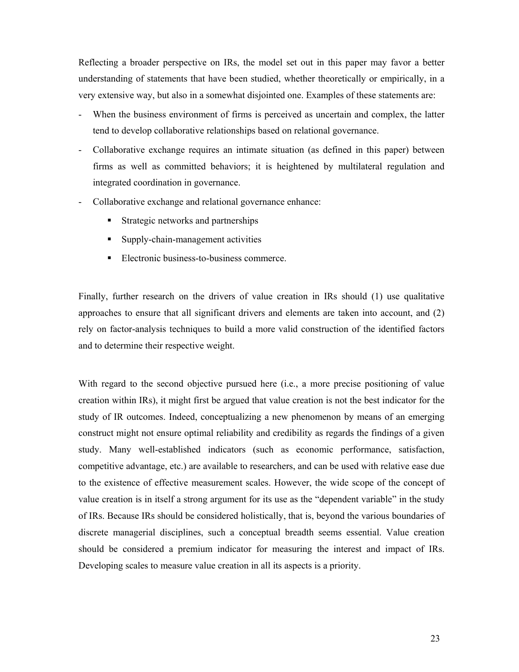Reflecting a broader perspective on IRs, the model set out in this paper may favor a better understanding of statements that have been studied, whether theoretically or empirically, in a very extensive way, but also in a somewhat disjointed one. Examples of these statements are:

- When the business environment of firms is perceived as uncertain and complex, the latter tend to develop collaborative relationships based on relational governance.
- Collaborative exchange requires an intimate situation (as defined in this paper) between firms as well as committed behaviors; it is heightened by multilateral regulation and integrated coordination in governance.
- Collaborative exchange and relational governance enhance:
	- **Strategic networks and partnerships**
	- Supply-chain-management activities
	- Electronic business-to-business commerce.

Finally, further research on the drivers of value creation in IRs should (1) use qualitative approaches to ensure that all significant drivers and elements are taken into account, and (2) rely on factor-analysis techniques to build a more valid construction of the identified factors and to determine their respective weight.

With regard to the second objective pursued here (i.e., a more precise positioning of value creation within IRs), it might first be argued that value creation is not the best indicator for the study of IR outcomes. Indeed, conceptualizing a new phenomenon by means of an emerging construct might not ensure optimal reliability and credibility as regards the findings of a given study. Many well-established indicators (such as economic performance, satisfaction, competitive advantage, etc.) are available to researchers, and can be used with relative ease due to the existence of effective measurement scales. However, the wide scope of the concept of value creation is in itself a strong argument for its use as the "dependent variable" in the study of IRs. Because IRs should be considered holistically, that is, beyond the various boundaries of discrete managerial disciplines, such a conceptual breadth seems essential. Value creation should be considered a premium indicator for measuring the interest and impact of IRs. Developing scales to measure value creation in all its aspects is a priority.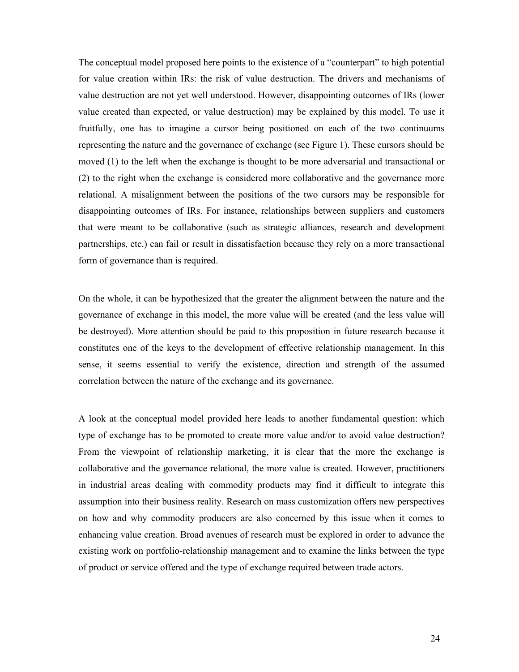The conceptual model proposed here points to the existence of a "counterpart" to high potential for value creation within IRs: the risk of value destruction. The drivers and mechanisms of value destruction are not yet well understood. However, disappointing outcomes of IRs (lower value created than expected, or value destruction) may be explained by this model. To use it fruitfully, one has to imagine a cursor being positioned on each of the two continuums representing the nature and the governance of exchange (see Figure 1). These cursors should be moved (1) to the left when the exchange is thought to be more adversarial and transactional or (2) to the right when the exchange is considered more collaborative and the governance more relational. A misalignment between the positions of the two cursors may be responsible for disappointing outcomes of IRs. For instance, relationships between suppliers and customers that were meant to be collaborative (such as strategic alliances, research and development partnerships, etc.) can fail or result in dissatisfaction because they rely on a more transactional form of governance than is required.

On the whole, it can be hypothesized that the greater the alignment between the nature and the governance of exchange in this model, the more value will be created (and the less value will be destroyed). More attention should be paid to this proposition in future research because it constitutes one of the keys to the development of effective relationship management. In this sense, it seems essential to verify the existence, direction and strength of the assumed correlation between the nature of the exchange and its governance.

A look at the conceptual model provided here leads to another fundamental question: which type of exchange has to be promoted to create more value and/or to avoid value destruction? From the viewpoint of relationship marketing, it is clear that the more the exchange is collaborative and the governance relational, the more value is created. However, practitioners in industrial areas dealing with commodity products may find it difficult to integrate this assumption into their business reality. Research on mass customization offers new perspectives on how and why commodity producers are also concerned by this issue when it comes to enhancing value creation. Broad avenues of research must be explored in order to advance the existing work on portfolio-relationship management and to examine the links between the type of product or service offered and the type of exchange required between trade actors.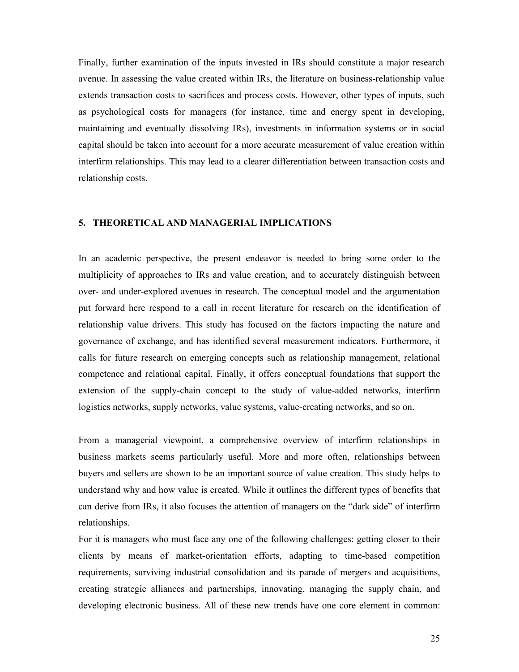Finally, further examination of the inputs invested in IRs should constitute a major research avenue. In assessing the value created within IRs, the literature on business-relationship value extends transaction costs to sacrifices and process costs. However, other types of inputs, such as psychological costs for managers (for instance, time and energy spent in developing, maintaining and eventually dissolving IRs), investments in information systems or in social capital should be taken into account for a more accurate measurement of value creation within interfirm relationships. This may lead to a clearer differentiation between transaction costs and relationship costs.

#### **5. THEORETICAL AND MANAGERIAL IMPLICATIONS**

In an academic perspective, the present endeavor is needed to bring some order to the multiplicity of approaches to IRs and value creation, and to accurately distinguish between over- and under-explored avenues in research. The conceptual model and the argumentation put forward here respond to a call in recent literature for research on the identification of relationship value drivers. This study has focused on the factors impacting the nature and governance of exchange, and has identified several measurement indicators. Furthermore, it calls for future research on emerging concepts such as relationship management, relational competence and relational capital. Finally, it offers conceptual foundations that support the extension of the supply-chain concept to the study of value-added networks, interfirm logistics networks, supply networks, value systems, value-creating networks, and so on.

From a managerial viewpoint, a comprehensive overview of interfirm relationships in business markets seems particularly useful. More and more often, relationships between buyers and sellers are shown to be an important source of value creation. This study helps to understand why and how value is created. While it outlines the different types of benefits that can derive from IRs, it also focuses the attention of managers on the "dark side" of interfirm relationships.

For it is managers who must face any one of the following challenges: getting closer to their clients by means of market-orientation efforts, adapting to time-based competition requirements, surviving industrial consolidation and its parade of mergers and acquisitions, creating strategic alliances and partnerships, innovating, managing the supply chain, and developing electronic business. All of these new trends have one core element in common: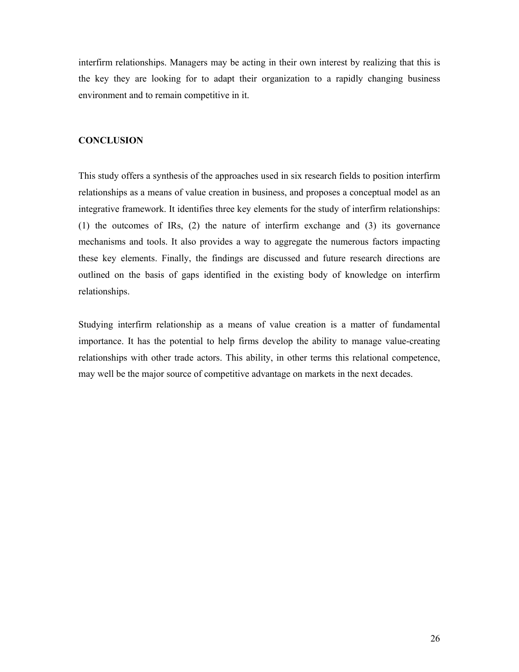interfirm relationships. Managers may be acting in their own interest by realizing that this is the key they are looking for to adapt their organization to a rapidly changing business environment and to remain competitive in it.

# **CONCLUSION**

This study offers a synthesis of the approaches used in six research fields to position interfirm relationships as a means of value creation in business, and proposes a conceptual model as an integrative framework. It identifies three key elements for the study of interfirm relationships: (1) the outcomes of IRs, (2) the nature of interfirm exchange and (3) its governance mechanisms and tools. It also provides a way to aggregate the numerous factors impacting these key elements. Finally, the findings are discussed and future research directions are outlined on the basis of gaps identified in the existing body of knowledge on interfirm relationships.

Studying interfirm relationship as a means of value creation is a matter of fundamental importance. It has the potential to help firms develop the ability to manage value-creating relationships with other trade actors. This ability, in other terms this relational competence, may well be the major source of competitive advantage on markets in the next decades.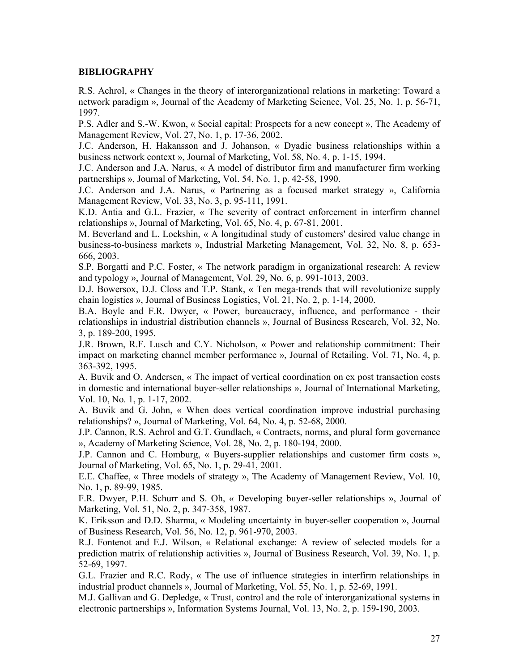# **BIBLIOGRAPHY**

R.S. Achrol, « Changes in the theory of interorganizational relations in marketing: Toward a network paradigm », Journal of the Academy of Marketing Science, Vol. 25, No. 1, p. 56-71, 1997.

P.S. Adler and S.-W. Kwon, « Social capital: Prospects for a new concept », The Academy of Management Review, Vol. 27, No. 1, p. 17-36, 2002.

J.C. Anderson, H. Hakansson and J. Johanson, « Dyadic business relationships within a business network context », Journal of Marketing, Vol. 58, No. 4, p. 1-15, 1994.

J.C. Anderson and J.A. Narus, « A model of distributor firm and manufacturer firm working partnerships », Journal of Marketing, Vol. 54, No. 1, p. 42-58, 1990.

J.C. Anderson and J.A. Narus, « Partnering as a focused market strategy », California Management Review, Vol. 33, No. 3, p. 95-111, 1991.

K.D. Antia and G.L. Frazier, « The severity of contract enforcement in interfirm channel relationships », Journal of Marketing, Vol. 65, No. 4, p. 67-81, 2001.

M. Beverland and L. Lockshin, « A longitudinal study of customers' desired value change in business-to-business markets », Industrial Marketing Management, Vol. 32, No. 8, p. 653- 666, 2003.

S.P. Borgatti and P.C. Foster, « The network paradigm in organizational research: A review and typology », Journal of Management, Vol. 29, No. 6, p. 991-1013, 2003.

D.J. Bowersox, D.J. Closs and T.P. Stank, « Ten mega-trends that will revolutionize supply chain logistics », Journal of Business Logistics, Vol. 21, No. 2, p. 1-14, 2000.

B.A. Boyle and F.R. Dwyer, « Power, bureaucracy, influence, and performance - their relationships in industrial distribution channels », Journal of Business Research, Vol. 32, No. 3, p. 189-200, 1995.

J.R. Brown, R.F. Lusch and C.Y. Nicholson, « Power and relationship commitment: Their impact on marketing channel member performance », Journal of Retailing, Vol. 71, No. 4, p. 363-392, 1995.

A. Buvik and O. Andersen, « The impact of vertical coordination on ex post transaction costs in domestic and international buyer-seller relationships », Journal of International Marketing, Vol. 10, No. 1, p. 1-17, 2002.

A. Buvik and G. John, « When does vertical coordination improve industrial purchasing relationships? », Journal of Marketing, Vol. 64, No. 4, p. 52-68, 2000.

J.P. Cannon, R.S. Achrol and G.T. Gundlach, « Contracts, norms, and plural form governance », Academy of Marketing Science, Vol. 28, No. 2, p. 180-194, 2000.

J.P. Cannon and C. Homburg, « Buyers-supplier relationships and customer firm costs », Journal of Marketing, Vol. 65, No. 1, p. 29-41, 2001.

E.E. Chaffee, « Three models of strategy », The Academy of Management Review, Vol. 10, No. 1, p. 89-99, 1985.

F.R. Dwyer, P.H. Schurr and S. Oh, « Developing buyer-seller relationships », Journal of Marketing, Vol. 51, No. 2, p. 347-358, 1987.

K. Eriksson and D.D. Sharma, « Modeling uncertainty in buyer-seller cooperation », Journal of Business Research, Vol. 56, No. 12, p. 961-970, 2003.

R.J. Fontenot and E.J. Wilson, « Relational exchange: A review of selected models for a prediction matrix of relationship activities », Journal of Business Research, Vol. 39, No. 1, p. 52-69, 1997.

G.L. Frazier and R.C. Rody, « The use of influence strategies in interfirm relationships in industrial product channels », Journal of Marketing, Vol. 55, No. 1, p. 52-69, 1991.

M.J. Gallivan and G. Depledge, « Trust, control and the role of interorganizational systems in electronic partnerships », Information Systems Journal, Vol. 13, No. 2, p. 159-190, 2003.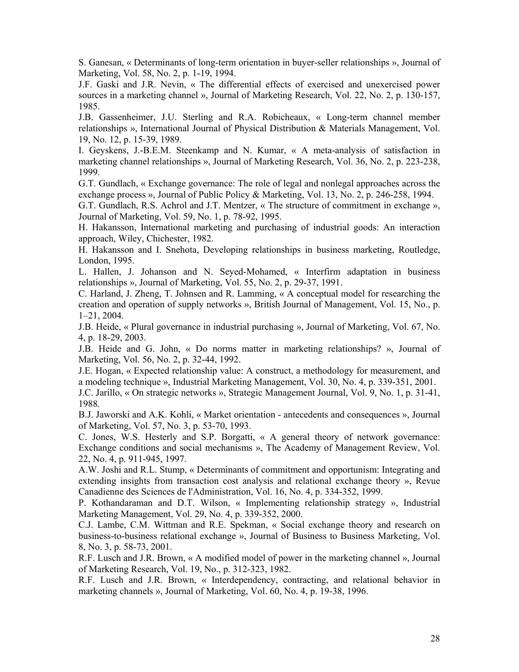S. Ganesan, « Determinants of long-term orientation in buyer-seller relationships », Journal of Marketing, Vol. 58, No. 2, p. 1-19, 1994.

J.F. Gaski and J.R. Nevin, « The differential effects of exercised and unexercised power sources in a marketing channel », Journal of Marketing Research, Vol. 22, No. 2, p. 130-157, 1985.

J.B. Gassenheimer, J.U. Sterling and R.A. Robicheaux, « Long-term channel member relationships », International Journal of Physical Distribution & Materials Management, Vol. 19, No. 12, p. 15-39, 1989.

I. Geyskens, J.-B.E.M. Steenkamp and N. Kumar, « A meta-analysis of satisfaction in marketing channel relationships », Journal of Marketing Research, Vol. 36, No. 2, p. 223-238, 1999.

G.T. Gundlach, « Exchange governance: The role of legal and nonlegal approaches across the exchange process », Journal of Public Policy & Marketing, Vol. 13, No. 2, p. 246-258, 1994.

G.T. Gundlach, R.S. Achrol and J.T. Mentzer, « The structure of commitment in exchange », Journal of Marketing, Vol. 59, No. 1, p. 78-92, 1995.

H. Hakansson, International marketing and purchasing of industrial goods: An interaction approach, Wiley, Chichester, 1982.

H. Hakansson and I. Snehota, Developing relationships in business marketing, Routledge, London, 1995.

L. Hallen, J. Johanson and N. Seyed-Mohamed, « Interfirm adaptation in business relationships », Journal of Marketing, Vol. 55, No. 2, p. 29-37, 1991.

C. Harland, J. Zheng, T. Johnsen and R. Lamming, « A conceptual model for researching the creation and operation of supply networks », British Journal of Management, Vol. 15, No., p. 1–21, 2004.

J.B. Heide, « Plural governance in industrial purchasing », Journal of Marketing, Vol. 67, No. 4, p. 18-29, 2003.

J.B. Heide and G. John, « Do norms matter in marketing relationships? », Journal of Marketing, Vol. 56, No. 2, p. 32-44, 1992.

J.E. Hogan, « Expected relationship value: A construct, a methodology for measurement, and a modeling technique », Industrial Marketing Management, Vol. 30, No. 4, p. 339-351, 2001.

J.C. Jarillo, « On strategic networks », Strategic Management Journal, Vol. 9, No. 1, p. 31-41, 1988.

B.J. Jaworski and A.K. Kohli, « Market orientation - antecedents and consequences », Journal of Marketing, Vol. 57, No. 3, p. 53-70, 1993.

C. Jones, W.S. Hesterly and S.P. Borgatti, « A general theory of network governance: Exchange conditions and social mechanisms », The Academy of Management Review, Vol. 22, No. 4, p. 911-945, 1997.

A.W. Joshi and R.L. Stump, « Determinants of commitment and opportunism: Integrating and extending insights from transaction cost analysis and relational exchange theory », Revue Canadienne des Sciences de l'Administration, Vol. 16, No. 4, p. 334-352, 1999.

P. Kothandaraman and D.T. Wilson, « Implementing relationship strategy », Industrial Marketing Management, Vol. 29, No. 4, p. 339-352, 2000.

C.J. Lambe, C.M. Wittman and R.E. Spekman, « Social exchange theory and research on business-to-business relational exchange », Journal of Business to Business Marketing, Vol. 8, No. 3, p. 58-73, 2001.

R.F. Lusch and J.R. Brown, « A modified model of power in the marketing channel », Journal of Marketing Research, Vol. 19, No., p. 312-323, 1982.

R.F. Lusch and J.R. Brown, « Interdependency, contracting, and relational behavior in marketing channels », Journal of Marketing, Vol. 60, No. 4, p. 19-38, 1996.